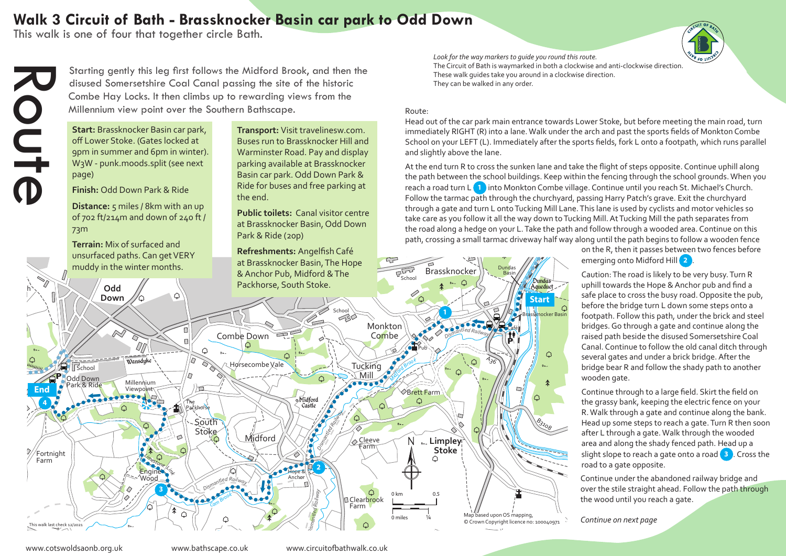## **Walk 3 Circuit of Bath - Brassknocker Basin car park to Odd Down**

This walk is one of four that together circle Bath.



Starting gently this leg first follows the Midford Brook, and then the disused Somersetshire Coal Canal passing the site of the historic Combe Hay Locks. It then climbs up to rewarding views from the Millennium view point over the Southern Bathscape.

**Start:** Brassknocker Basin car park, off Lower Stoke. (Gates locked at 9pm in summer and 6pm in winter). W3W - punk.moods.split (see next page)

**Finish:** Odd Down Park & Ride

**Distance:** 5 miles / 8km with an up of 702 ft/214m and down of 240 ft / 73m

**Terrain:** Mix of surfaced and unsurfaced paths. Can get VERY

**Transport:** Visit travelinesw.com. Buses run to Brassknocker Hill and Warminster Road. Pay and display parking available at Brassknocker Basin car park. Odd Down Park & Ride for buses and free parking at the end.

**Public toilets:** Canal visitor centre at Brassknocker Basin, Odd Down Park & Ride (20p)

**Refreshments:** Angelfish Café at Brassknocker Basin, The Hope

The Circuit of Bath is waymarked in both a clockwise and anti-clockwise direction.  $\hphantom{\big|}_{\big|}$ *Look for the way markers to guide you round this route.*  These walk guides take you around in a clockwise direction. They can be walked in any order. *K*<sub>*a*</sub> *ayde you round*<br>*A*<sup>*n*</sup> *A*<sup>*n*</sup> *A*<sup>*n*</sup> *A*<sup>*n*</sup> *C*<sub>*n*</sub> *A*<sup>*n*</sup> *A*<sup>*n*</sup> *C*<sub>*D*</sub> *C*<sub>*n*</sub> *C*<sub>*D*</sub> *C*<sub>*n*</sub> *C*<sub>*D*</sub> *C*<sub>*C*</sub> *River Avon*

## Route:

Hospital

Head out of the car park main entrance towards Lower Stoke, but before meeting the main road, turn immediately RIGHT (R) into a lane. Walk under the arch and past the sports fields of Monkton Combe School on your LEFT (L). Immediately after the sports fields, fork L onto a footpath, which runs parallel American and slightly above the lane.

At the end turn R to cross the sunken lane and take the flight of steps opposite. Continue uphill along the path between the school buildings. Keep within the fencing through the school grounds. When you reach a road turn L **1** into Monkton Combe village. Continue until you reach St. Michael's Church. Follow the tarmac path through the churchyard, passing Harry Patch's grave. Exit the churchyard through a gate and turn L onto Tucking Mill Lane. This lane is used by cyclists and motor vehicles so Bassett take care as you follow it all the way down to Tucking Mill. At Tucking Mill the path separates from the road along a hedge on your L. Take the path and follow through a wooded area. Continue on this path, crossing a small tarmac driveway half way along until the path begins to follow a wooden fence on Combo<br>e churchy<br>king Mill I<br>y down to<br>Take the p<br>way half Farm

on the R, then it passes between two fences before emerging onto Midford Hill **2** .

Caution: The road is likely to be very busy. Turn R uphill towards the Hope & Anchor pub and find a safe place to cross the busy road. Opposite the pub, before the bridge turn L down some steps onto a footpath. Follow this path, under the brick and steel bridges. Go through a gate and continue along the raised path beside the disused Somersetshire Coal Canal. Continue to follow the old canal ditch through several gates and under a brick bridge. After the bridge bear R and follow the shady path to another wooden gate.

Continue through to a large field. Skirt the field on the grassy bank, keeping the electric fence on your R. Walk through a gate and continue along the bank. Head up some steps to reach a gate. Turn R then soon after L through a gate. Walk through the wooded area and along the shady fenced path. Head up a slight slope to reach a gate onto a road **3** . Cross the road to a gate opposite.

Continue under the abandoned railway bridge and over the stile straight ahead. Follow the path through the wood until you reach a gate.

*Continue on next page*